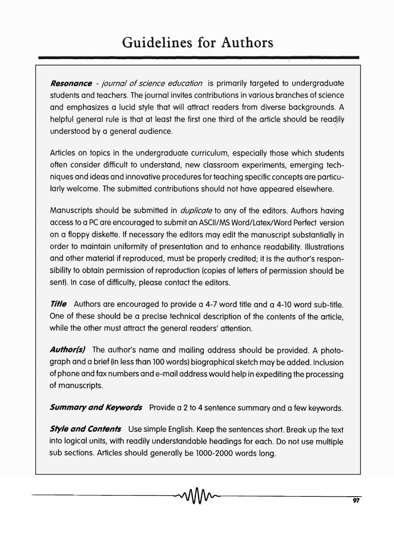**Resonance** - journal of science education is primarily targeted to undergraduate students and teachers. The journal invites contributions in various branches of science and emphasizes a lucid style that will attract readers from diverse backgrounds. A helpful general rule is that at least the first one third of the article should be readily understood by a general audience.

Articles on topics in the undergraduate curriculum, especially those which students often consider difficult to understand, new classroom experiments, emerging techniques and ideas and innovative procedures for teaching specific concepts are particularly welcome. The submitted contributions should not have appeared elsewhere.

Manuscripts should be submitted in *duplicate* to any of the editors. Authors having access to a PC are encouraged to submit an ASCII/MS Word/LateX/Word Perfect version on a floppy diskette. If necessary the editors may edit the manuscript substantially in order to maintain uniformity of presentation and to enhance readability. Illustrations and other material if reproduced, must be properly credited; it is the author's responsibility to obtain permission of reproduction (copies of letters of permission should be sent). In case of difficulty, please contact the editors.

**Title** Authors are encouraged to provide a 4-7 word title and a 4-10 word sub-title. One of these should be a precise technical description of the contents of the article, while the other must attract the general readers' attention.

Author(s) The author's name and mailing address should be provided. A photograph and a brief (in less than 100 words) biographical sketch may be added. Inclusion of phone and fax numbers and e-mail address would help in expediting the processing of manuscripts.

**Summary and Keywords** Provide a 2 to 4 sentence summary and a few keywords.

**Style and Contents** Use simple English. Keep the sentences short. Break up the text into logical units, with readily understandable headings for each. Do not use multiple sub sections. Articles should generally be 1000-2000 words long.